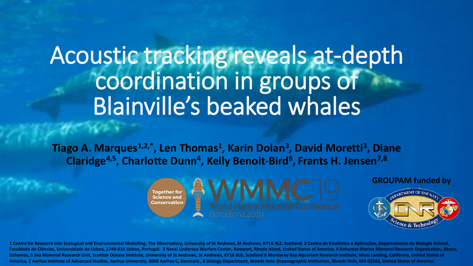## Acoustic tracking reveals at-depth coordination in groups of Blainville's beaked whales

**Tiago A. Marques1,2,\*, Len Thomas<sup>1</sup> , Karin Dolan<sup>3</sup> , David Moretti<sup>3</sup> , Diane Claridge4,5, Charlotte Dunn<sup>4</sup> , Kelly Benoit-Bird<sup>6</sup> , Frants H. Jensen7,8**

> **Together for<br>Science and** Conservation





1 Centre for Research into Ecological and Environmental Modelling, The Observatory, University of St Andrews, St Andrews, KY16 9LZ, Scotland. 2 Centro de Estatística e Aplicações, Departamento de Biologia Animal, Faculdade de Ciências, Universidade de Lisboa, 1749-016 Lisboa, Portugal. 3 Naval Undersea Warfare Center, Newport, Rhode Island, United States of America, 4 Bahamas Marine Mammal Research Organisation, Abaco, **Bahamas, 5 Sea Mammal Research Unit, Scottish Oceans Institute, University of St Andrews, St Andrews, KY16 8LB, Scotland 6 Monterey Bay Aquarium Research Institute, Moss Landing, California, United States of America, 7 Aarhus Institute of Advanced Studies, Aarhus University, 8000 Aarhus C, Denmark., 8 Biology Department, Woods Hole Oceanographic Institution, Woods Hole, MA 02543, United States of America.**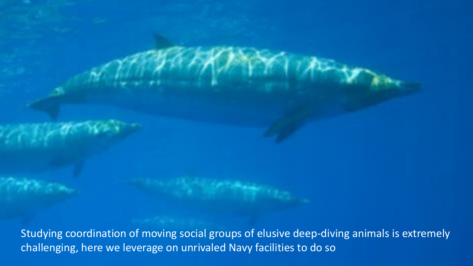Studying coordination of moving social groups of elusive deep-diving animals is extremely challenging, here we leverage on unrivaled Navy facilities to do so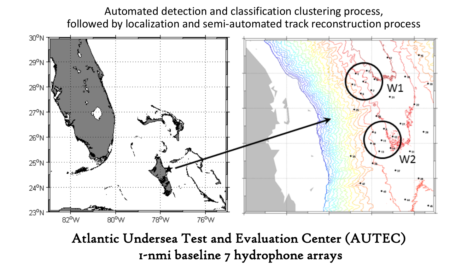Automated detection and classification clustering process, followed by localization and semi-automated track reconstruction process



1-nmi baseline 7 hydrophone arrays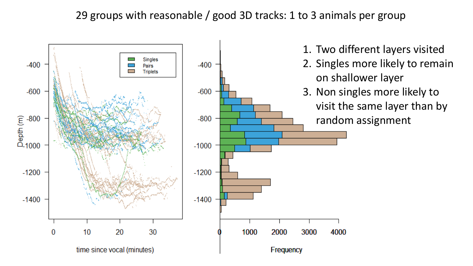## 29 groups with reasonable / good 3D tracks: 1 to 3 animals per group

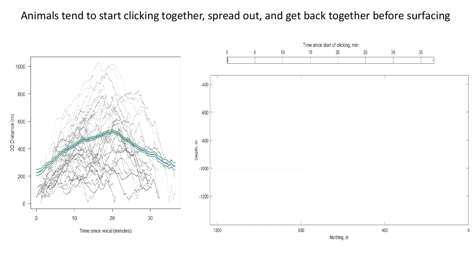## Animals tend to start clicking together, spread out, and get back together before surfacing

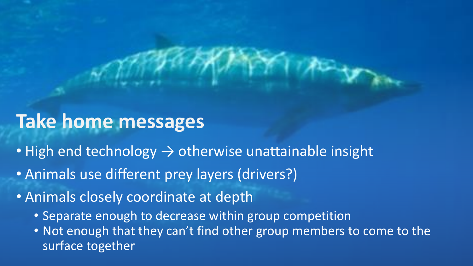## **Take home messages**

- High end technology  $\rightarrow$  otherwise unattainable insight
- Animals use different prey layers (drivers?)
- Animals closely coordinate at depth
	- Separate enough to decrease within group competition
	- Not enough that they can't find other group members to come to the surface together